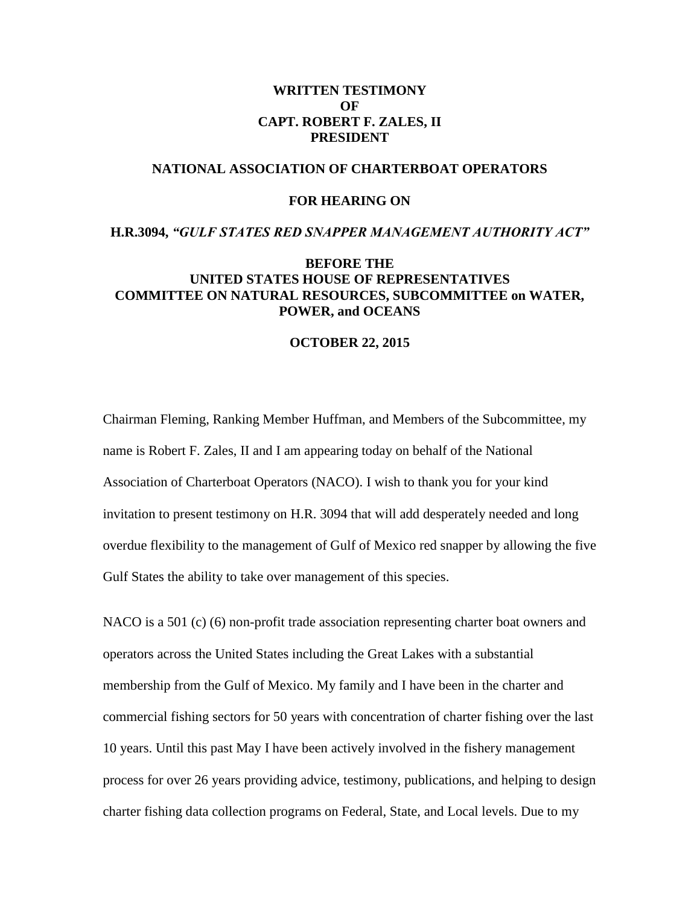## **WRITTEN TESTIMONY OF CAPT. ROBERT F. ZALES, II PRESIDENT**

## **NATIONAL ASSOCIATION OF CHARTERBOAT OPERATORS**

## **FOR HEARING ON**

### **H.R.3094,** *"GULF STATES RED SNAPPER MANAGEMENT AUTHORITY ACT"*

# **BEFORE THE UNITED STATES HOUSE OF REPRESENTATIVES COMMITTEE ON NATURAL RESOURCES, SUBCOMMITTEE on WATER, POWER, and OCEANS**

#### **OCTOBER 22, 2015**

Chairman Fleming, Ranking Member Huffman, and Members of the Subcommittee, my name is Robert F. Zales, II and I am appearing today on behalf of the National Association of Charterboat Operators (NACO). I wish to thank you for your kind invitation to present testimony on H.R. 3094 that will add desperately needed and long overdue flexibility to the management of Gulf of Mexico red snapper by allowing the five Gulf States the ability to take over management of this species.

NACO is a 501 (c) (6) non-profit trade association representing charter boat owners and operators across the United States including the Great Lakes with a substantial membership from the Gulf of Mexico. My family and I have been in the charter and commercial fishing sectors for 50 years with concentration of charter fishing over the last 10 years. Until this past May I have been actively involved in the fishery management process for over 26 years providing advice, testimony, publications, and helping to design charter fishing data collection programs on Federal, State, and Local levels. Due to my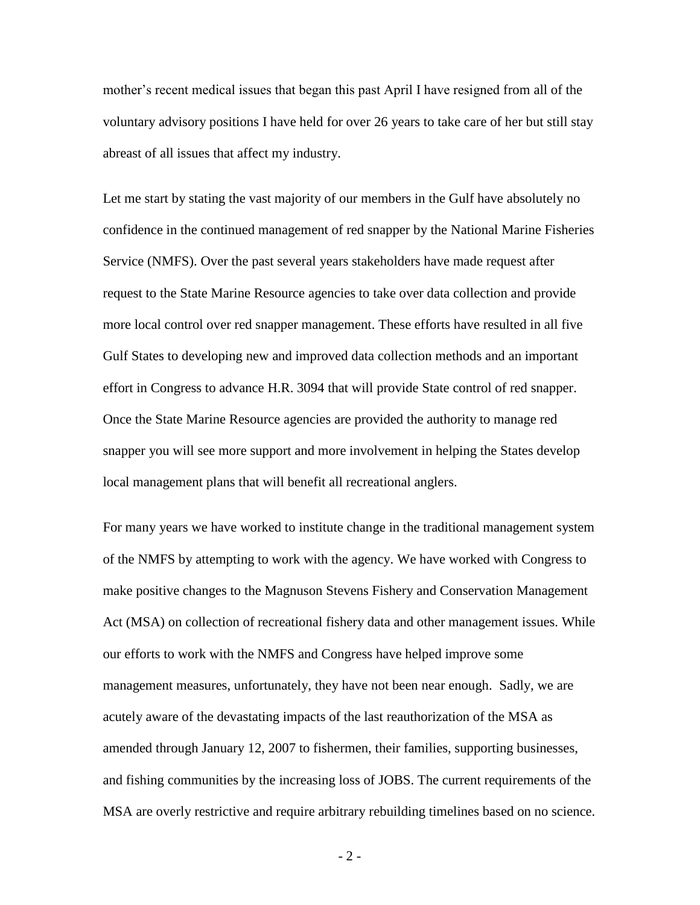mother's recent medical issues that began this past April I have resigned from all of the voluntary advisory positions I have held for over 26 years to take care of her but still stay abreast of all issues that affect my industry.

Let me start by stating the vast majority of our members in the Gulf have absolutely no confidence in the continued management of red snapper by the National Marine Fisheries Service (NMFS). Over the past several years stakeholders have made request after request to the State Marine Resource agencies to take over data collection and provide more local control over red snapper management. These efforts have resulted in all five Gulf States to developing new and improved data collection methods and an important effort in Congress to advance H.R. 3094 that will provide State control of red snapper. Once the State Marine Resource agencies are provided the authority to manage red snapper you will see more support and more involvement in helping the States develop local management plans that will benefit all recreational anglers.

For many years we have worked to institute change in the traditional management system of the NMFS by attempting to work with the agency. We have worked with Congress to make positive changes to the Magnuson Stevens Fishery and Conservation Management Act (MSA) on collection of recreational fishery data and other management issues. While our efforts to work with the NMFS and Congress have helped improve some management measures, unfortunately, they have not been near enough. Sadly, we are acutely aware of the devastating impacts of the last reauthorization of the MSA as amended through January 12, 2007 to fishermen, their families, supporting businesses, and fishing communities by the increasing loss of JOBS. The current requirements of the MSA are overly restrictive and require arbitrary rebuilding timelines based on no science.

- 2 -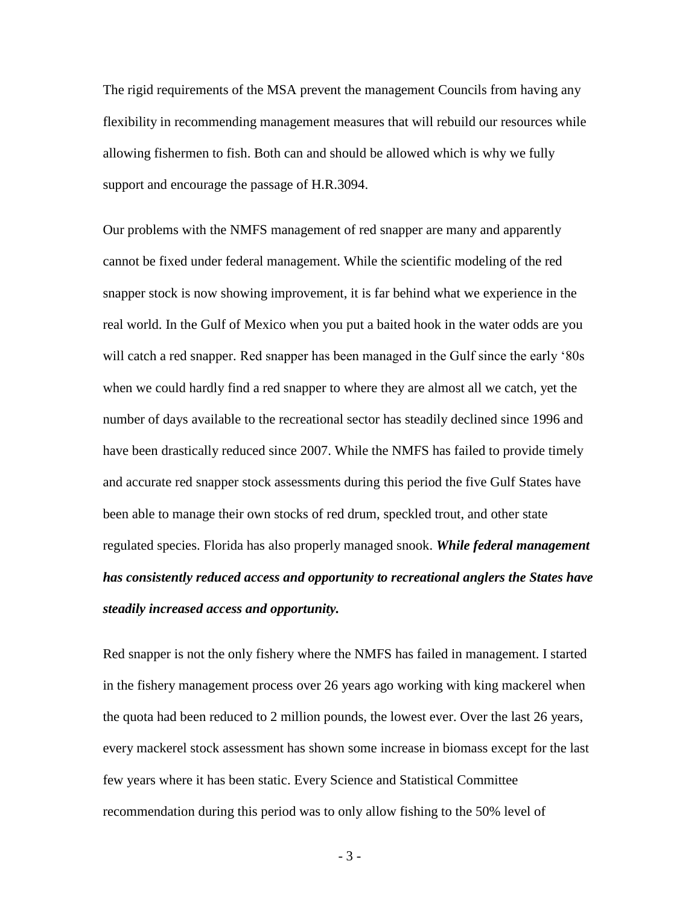The rigid requirements of the MSA prevent the management Councils from having any flexibility in recommending management measures that will rebuild our resources while allowing fishermen to fish. Both can and should be allowed which is why we fully support and encourage the passage of H.R.3094.

Our problems with the NMFS management of red snapper are many and apparently cannot be fixed under federal management. While the scientific modeling of the red snapper stock is now showing improvement, it is far behind what we experience in the real world. In the Gulf of Mexico when you put a baited hook in the water odds are you will catch a red snapper. Red snapper has been managed in the Gulf since the early '80s when we could hardly find a red snapper to where they are almost all we catch, yet the number of days available to the recreational sector has steadily declined since 1996 and have been drastically reduced since 2007. While the NMFS has failed to provide timely and accurate red snapper stock assessments during this period the five Gulf States have been able to manage their own stocks of red drum, speckled trout, and other state regulated species. Florida has also properly managed snook. *While federal management has consistently reduced access and opportunity to recreational anglers the States have steadily increased access and opportunity.*

Red snapper is not the only fishery where the NMFS has failed in management. I started in the fishery management process over 26 years ago working with king mackerel when the quota had been reduced to 2 million pounds, the lowest ever. Over the last 26 years, every mackerel stock assessment has shown some increase in biomass except for the last few years where it has been static. Every Science and Statistical Committee recommendation during this period was to only allow fishing to the 50% level of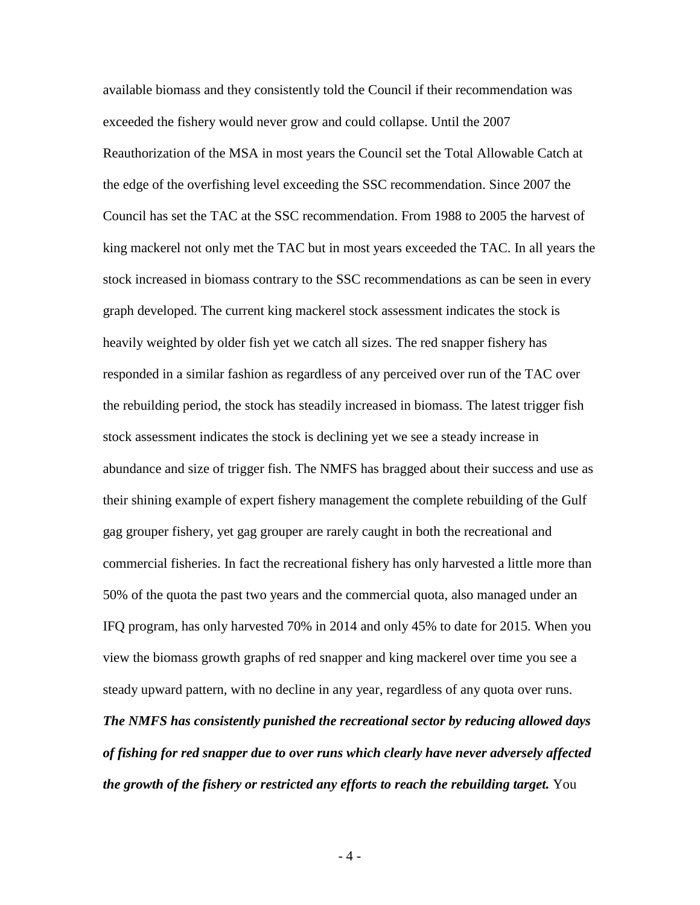available biomass and they consistently told the Council if their recommendation was exceeded the fishery would never grow and could collapse. Until the 2007 Reauthorization of the MSA in most years the Council set the Total Allowable Catch at the edge of the overfishing level exceeding the SSC recommendation. Since 2007 the Council has set the TAC at the SSC recommendation. From 1988 to 2005 the harvest of king mackerel not only met the TAC but in most years exceeded the TAC. In all years the stock increased in biomass contrary to the SSC recommendations as can be seen in every graph developed. The current king mackerel stock assessment indicates the stock is heavily weighted by older fish yet we catch all sizes. The red snapper fishery has responded in a similar fashion as regardless of any perceived over run of the TAC over the rebuilding period, the stock has steadily increased in biomass. The latest trigger fish stock assessment indicates the stock is declining yet we see a steady increase in abundance and size of trigger fish. The NMFS has bragged about their success and use as their shining example of expert fishery management the complete rebuilding of the Gulf gag grouper fishery, yet gag grouper are rarely caught in both the recreational and commercial fisheries. In fact the recreational fishery has only harvested a little more than 50% of the quota the past two years and the commercial quota, also managed under an IFQ program, has only harvested 70% in 2014 and only 45% to date for 2015. When you view the biomass growth graphs of red snapper and king mackerel over time you see a steady upward pattern, with no decline in any year, regardless of any quota over runs.

*The NMFS has consistently punished the recreational sector by reducing allowed days of fishing for red snapper due to over runs which clearly have never adversely affected the growth of the fishery or restricted any efforts to reach the rebuilding target.* You

- 4 -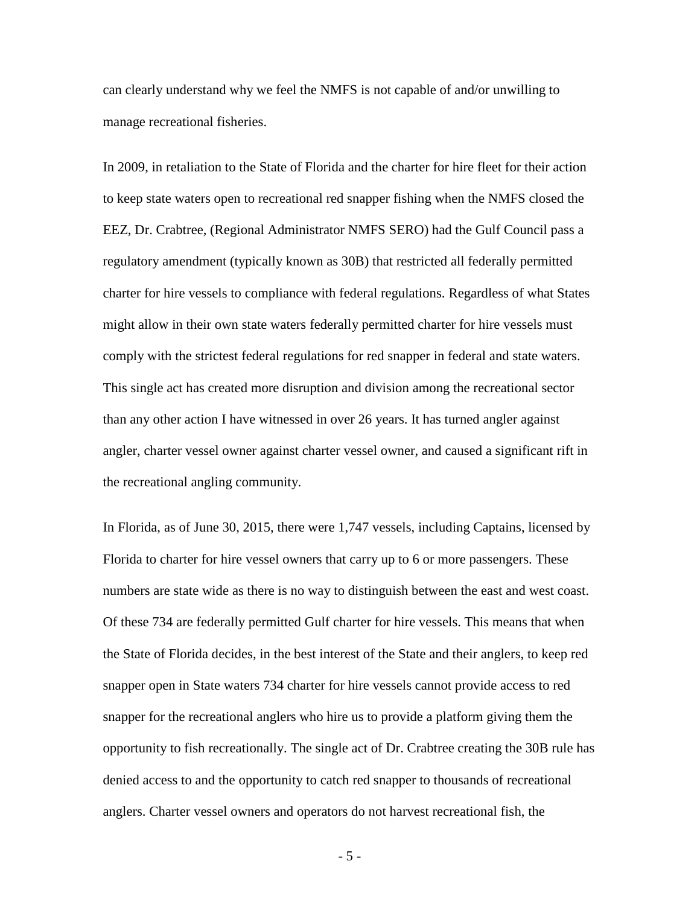can clearly understand why we feel the NMFS is not capable of and/or unwilling to manage recreational fisheries.

In 2009, in retaliation to the State of Florida and the charter for hire fleet for their action to keep state waters open to recreational red snapper fishing when the NMFS closed the EEZ, Dr. Crabtree, (Regional Administrator NMFS SERO) had the Gulf Council pass a regulatory amendment (typically known as 30B) that restricted all federally permitted charter for hire vessels to compliance with federal regulations. Regardless of what States might allow in their own state waters federally permitted charter for hire vessels must comply with the strictest federal regulations for red snapper in federal and state waters. This single act has created more disruption and division among the recreational sector than any other action I have witnessed in over 26 years. It has turned angler against angler, charter vessel owner against charter vessel owner, and caused a significant rift in the recreational angling community.

In Florida, as of June 30, 2015, there were 1,747 vessels, including Captains, licensed by Florida to charter for hire vessel owners that carry up to 6 or more passengers. These numbers are state wide as there is no way to distinguish between the east and west coast. Of these 734 are federally permitted Gulf charter for hire vessels. This means that when the State of Florida decides, in the best interest of the State and their anglers, to keep red snapper open in State waters 734 charter for hire vessels cannot provide access to red snapper for the recreational anglers who hire us to provide a platform giving them the opportunity to fish recreationally. The single act of Dr. Crabtree creating the 30B rule has denied access to and the opportunity to catch red snapper to thousands of recreational anglers. Charter vessel owners and operators do not harvest recreational fish, the

- 5 -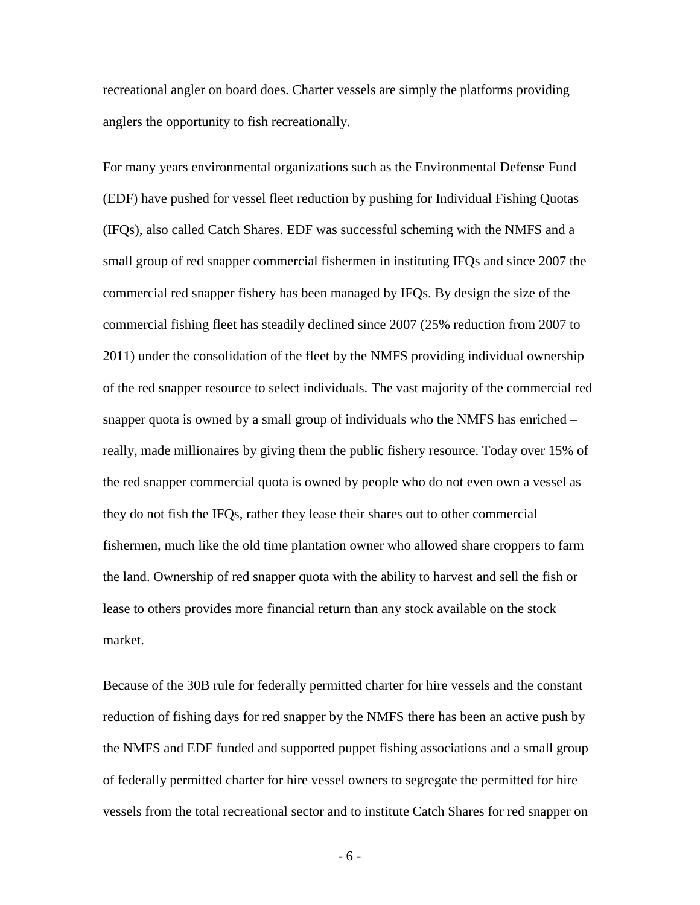recreational angler on board does. Charter vessels are simply the platforms providing anglers the opportunity to fish recreationally.

For many years environmental organizations such as the Environmental Defense Fund (EDF) have pushed for vessel fleet reduction by pushing for Individual Fishing Quotas (IFQs), also called Catch Shares. EDF was successful scheming with the NMFS and a small group of red snapper commercial fishermen in instituting IFQs and since 2007 the commercial red snapper fishery has been managed by IFQs. By design the size of the commercial fishing fleet has steadily declined since 2007 (25% reduction from 2007 to 2011) under the consolidation of the fleet by the NMFS providing individual ownership of the red snapper resource to select individuals. The vast majority of the commercial red snapper quota is owned by a small group of individuals who the NMFS has enriched – really, made millionaires by giving them the public fishery resource. Today over 15% of the red snapper commercial quota is owned by people who do not even own a vessel as they do not fish the IFQs, rather they lease their shares out to other commercial fishermen, much like the old time plantation owner who allowed share croppers to farm the land. Ownership of red snapper quota with the ability to harvest and sell the fish or lease to others provides more financial return than any stock available on the stock market.

Because of the 30B rule for federally permitted charter for hire vessels and the constant reduction of fishing days for red snapper by the NMFS there has been an active push by the NMFS and EDF funded and supported puppet fishing associations and a small group of federally permitted charter for hire vessel owners to segregate the permitted for hire vessels from the total recreational sector and to institute Catch Shares for red snapper on

- 6 -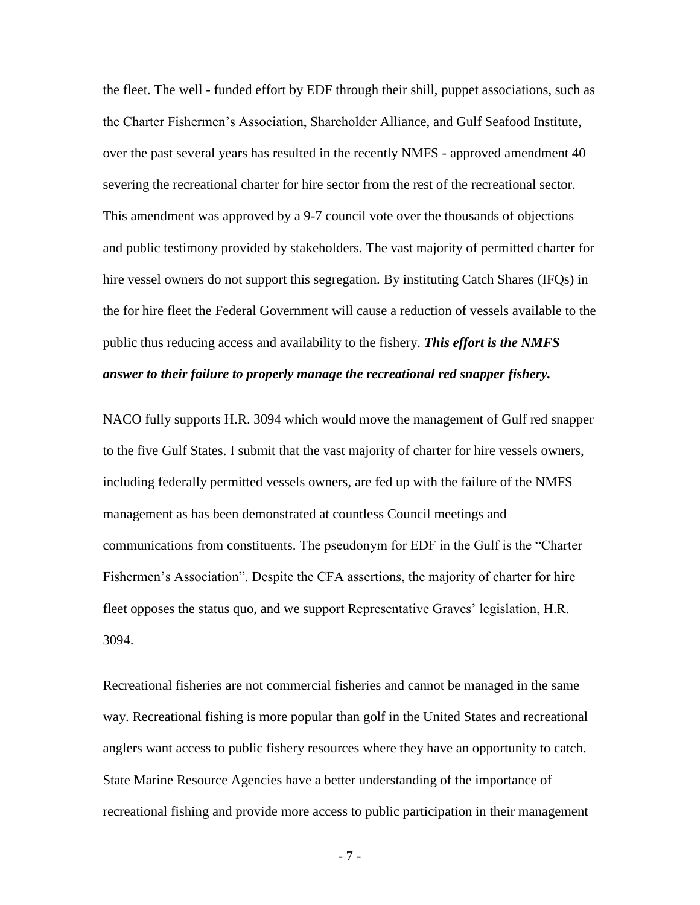the fleet. The well - funded effort by EDF through their shill, puppet associations, such as the Charter Fishermen's Association, Shareholder Alliance, and Gulf Seafood Institute, over the past several years has resulted in the recently NMFS - approved amendment 40 severing the recreational charter for hire sector from the rest of the recreational sector. This amendment was approved by a 9-7 council vote over the thousands of objections and public testimony provided by stakeholders. The vast majority of permitted charter for hire vessel owners do not support this segregation. By instituting Catch Shares (IFQs) in the for hire fleet the Federal Government will cause a reduction of vessels available to the public thus reducing access and availability to the fishery. *This effort is the NMFS answer to their failure to properly manage the recreational red snapper fishery.*

NACO fully supports H.R. 3094 which would move the management of Gulf red snapper to the five Gulf States. I submit that the vast majority of charter for hire vessels owners, including federally permitted vessels owners, are fed up with the failure of the NMFS management as has been demonstrated at countless Council meetings and communications from constituents. The pseudonym for EDF in the Gulf is the "Charter Fishermen's Association". Despite the CFA assertions, the majority of charter for hire fleet opposes the status quo, and we support Representative Graves' legislation, H.R. 3094.

Recreational fisheries are not commercial fisheries and cannot be managed in the same way. Recreational fishing is more popular than golf in the United States and recreational anglers want access to public fishery resources where they have an opportunity to catch. State Marine Resource Agencies have a better understanding of the importance of recreational fishing and provide more access to public participation in their management

- 7 -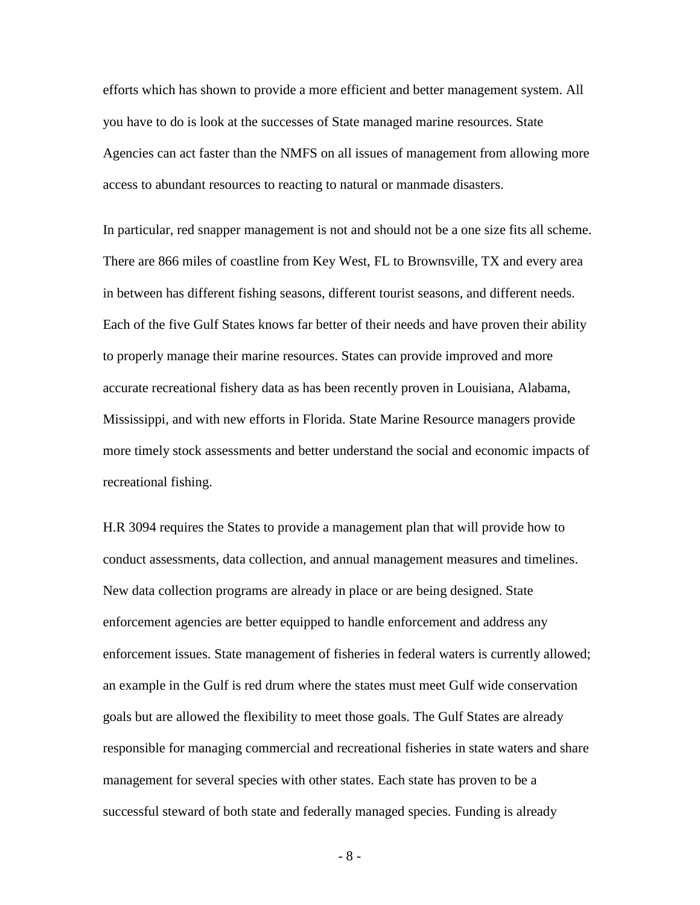efforts which has shown to provide a more efficient and better management system. All you have to do is look at the successes of State managed marine resources. State Agencies can act faster than the NMFS on all issues of management from allowing more access to abundant resources to reacting to natural or manmade disasters.

In particular, red snapper management is not and should not be a one size fits all scheme. There are 866 miles of coastline from Key West, FL to Brownsville, TX and every area in between has different fishing seasons, different tourist seasons, and different needs. Each of the five Gulf States knows far better of their needs and have proven their ability to properly manage their marine resources. States can provide improved and more accurate recreational fishery data as has been recently proven in Louisiana, Alabama, Mississippi, and with new efforts in Florida. State Marine Resource managers provide more timely stock assessments and better understand the social and economic impacts of recreational fishing.

H.R 3094 requires the States to provide a management plan that will provide how to conduct assessments, data collection, and annual management measures and timelines. New data collection programs are already in place or are being designed. State enforcement agencies are better equipped to handle enforcement and address any enforcement issues. State management of fisheries in federal waters is currently allowed; an example in the Gulf is red drum where the states must meet Gulf wide conservation goals but are allowed the flexibility to meet those goals. The Gulf States are already responsible for managing commercial and recreational fisheries in state waters and share management for several species with other states. Each state has proven to be a successful steward of both state and federally managed species. Funding is already

- 8 -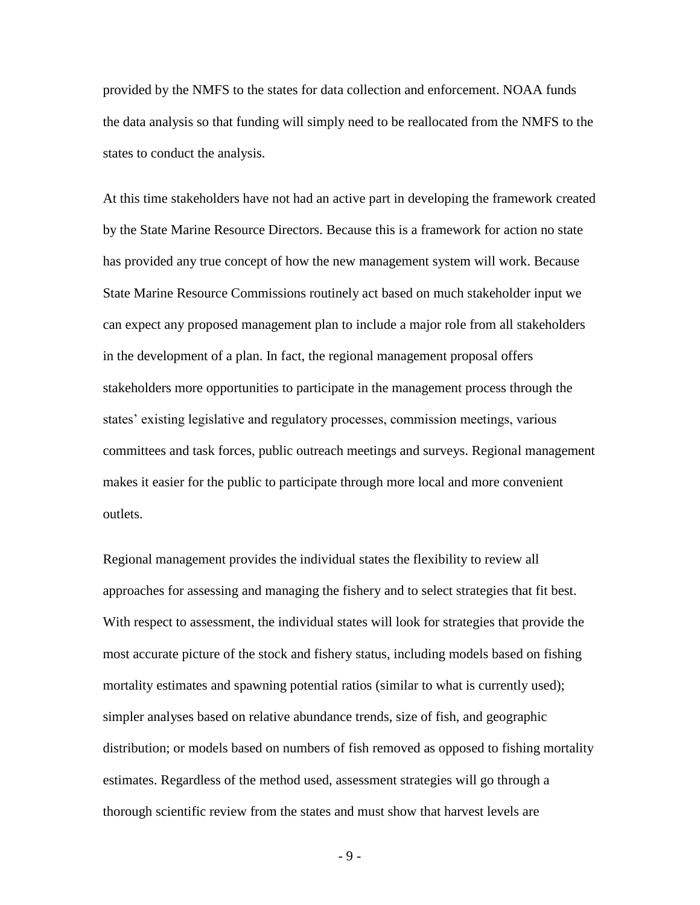provided by the NMFS to the states for data collection and enforcement. NOAA funds the data analysis so that funding will simply need to be reallocated from the NMFS to the states to conduct the analysis.

At this time stakeholders have not had an active part in developing the framework created by the State Marine Resource Directors. Because this is a framework for action no state has provided any true concept of how the new management system will work. Because State Marine Resource Commissions routinely act based on much stakeholder input we can expect any proposed management plan to include a major role from all stakeholders in the development of a plan. In fact, the regional management proposal offers stakeholders more opportunities to participate in the management process through the states' existing legislative and regulatory processes, commission meetings, various committees and task forces, public outreach meetings and surveys. Regional management makes it easier for the public to participate through more local and more convenient outlets.

Regional management provides the individual states the flexibility to review all approaches for assessing and managing the fishery and to select strategies that fit best. With respect to assessment, the individual states will look for strategies that provide the most accurate picture of the stock and fishery status, including models based on fishing mortality estimates and spawning potential ratios (similar to what is currently used); simpler analyses based on relative abundance trends, size of fish, and geographic distribution; or models based on numbers of fish removed as opposed to fishing mortality estimates. Regardless of the method used, assessment strategies will go through a thorough scientific review from the states and must show that harvest levels are

- 9 -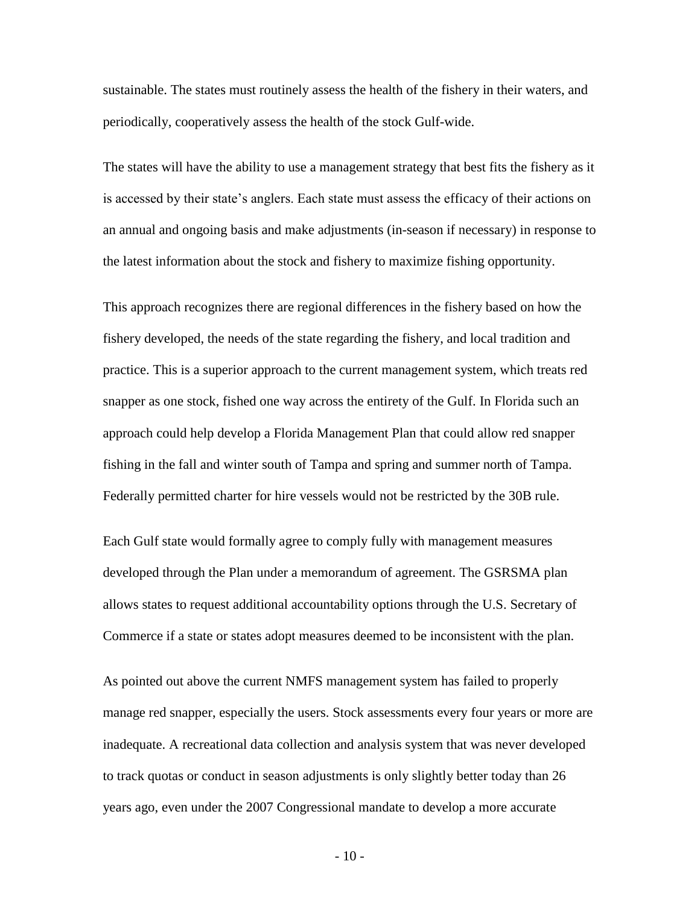sustainable. The states must routinely assess the health of the fishery in their waters, and periodically, cooperatively assess the health of the stock Gulf-wide.

The states will have the ability to use a management strategy that best fits the fishery as it is accessed by their state's anglers. Each state must assess the efficacy of their actions on an annual and ongoing basis and make adjustments (in-season if necessary) in response to the latest information about the stock and fishery to maximize fishing opportunity.

This approach recognizes there are regional differences in the fishery based on how the fishery developed, the needs of the state regarding the fishery, and local tradition and practice. This is a superior approach to the current management system, which treats red snapper as one stock, fished one way across the entirety of the Gulf. In Florida such an approach could help develop a Florida Management Plan that could allow red snapper fishing in the fall and winter south of Tampa and spring and summer north of Tampa. Federally permitted charter for hire vessels would not be restricted by the 30B rule.

Each Gulf state would formally agree to comply fully with management measures developed through the Plan under a memorandum of agreement. The GSRSMA plan allows states to request additional accountability options through the U.S. Secretary of Commerce if a state or states adopt measures deemed to be inconsistent with the plan.

As pointed out above the current NMFS management system has failed to properly manage red snapper, especially the users. Stock assessments every four years or more are inadequate. A recreational data collection and analysis system that was never developed to track quotas or conduct in season adjustments is only slightly better today than 26 years ago, even under the 2007 Congressional mandate to develop a more accurate

- 10 -